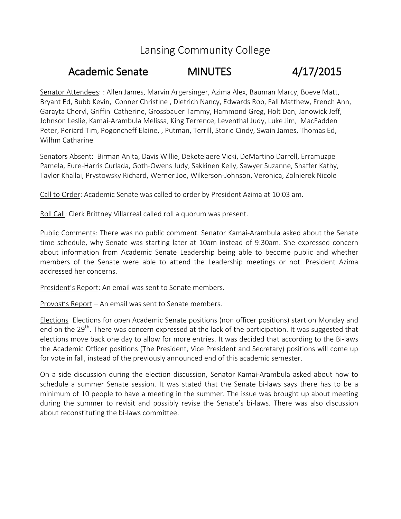## Lansing Community College

## Academic Senate MINUTES 4/17/2015

Senator Attendees: : Allen James, Marvin Argersinger, Azima Alex, Bauman Marcy, Boeve Matt, Bryant Ed, Bubb Kevin, Conner Christine , Dietrich Nancy, Edwards Rob, Fall Matthew, French Ann, Garayta Cheryl, Griffin Catherine, Grossbauer Tammy, Hammond Greg, Holt Dan, Janowick Jeff, Johnson Leslie, Kamai-Arambula Melissa, King Terrence, Leventhal Judy, Luke Jim, MacFadden Peter, Periard Tim, Pogoncheff Elaine, , Putman, Terrill, Storie Cindy, Swain James, Thomas Ed, Wilhm Catharine

Senators Absent: Birman Anita, Davis Willie, Deketelaere Vicki, DeMartino Darrell, Erramuzpe Pamela, Eure-Harris Curlada, Goth-Owens Judy, Sakkinen Kelly, Sawyer Suzanne, Shaffer Kathy, Taylor Khallai, Prystowsky Richard, Werner Joe, Wilkerson-Johnson, Veronica, Zolnierek Nicole

Call to Order: Academic Senate was called to order by President Azima at 10:03 am.

Roll Call: Clerk Brittney Villarreal called roll a quorum was present.

Public Comments: There was no public comment. Senator Kamai-Arambula asked about the Senate time schedule, why Senate was starting later at 10am instead of 9:30am. She expressed concern about information from Academic Senate Leadership being able to become public and whether members of the Senate were able to attend the Leadership meetings or not. President Azima addressed her concerns.

President's Report: An email was sent to Senate members.

Provost's Report – An email was sent to Senate members.

Elections Elections for open Academic Senate positions (non officer positions) start on Monday and end on the 29<sup>th</sup>. There was concern expressed at the lack of the participation. It was suggested that elections move back one day to allow for more entries. It was decided that according to the Bi-laws the Academic Officer positions (The President, Vice President and Secretary) positions will come up for vote in fall, instead of the previously announced end of this academic semester.

On a side discussion during the election discussion, Senator Kamai-Arambula asked about how to schedule a summer Senate session. It was stated that the Senate bi-laws says there has to be a minimum of 10 people to have a meeting in the summer. The issue was brought up about meeting during the summer to revisit and possibly revise the Senate's bi-laws. There was also discussion about reconstituting the bi-laws committee.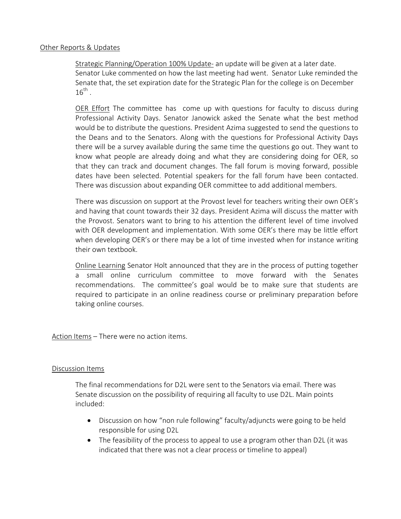## Other Reports & Updates

Strategic Planning/Operation 100% Update- an update will be given at a later date. Senator Luke commented on how the last meeting had went. Senator Luke reminded the Senate that, the set expiration date for the Strategic Plan for the college is on December  $16^{\text{th}}$  .

OER Effort The committee has come up with questions for faculty to discuss during Professional Activity Days. Senator Janowick asked the Senate what the best method would be to distribute the questions. President Azima suggested to send the questions to the Deans and to the Senators. Along with the questions for Professional Activity Days there will be a survey available during the same time the questions go out. They want to know what people are already doing and what they are considering doing for OER, so that they can track and document changes. The fall forum is moving forward, possible dates have been selected. Potential speakers for the fall forum have been contacted. There was discussion about expanding OER committee to add additional members.

There was discussion on support at the Provost level for teachers writing their own OER's and having that count towards their 32 days. President Azima will discuss the matter with the Provost. Senators want to bring to his attention the different level of time involved with OER development and implementation. With some OER's there may be little effort when developing OER's or there may be a lot of time invested when for instance writing their own textbook.

Online Learning Senator Holt announced that they are in the process of putting together a small online curriculum committee to move forward with the Senates recommendations. The committee's goal would be to make sure that students are required to participate in an online readiness course or preliminary preparation before taking online courses.

Action Items – There were no action items.

## Discussion Items

The final recommendations for D2L were sent to the Senators via email. There was Senate discussion on the possibility of requiring all faculty to use D2L. Main points included:

- Discussion on how "non rule following" faculty/adjuncts were going to be held responsible for using D2L
- The feasibility of the process to appeal to use a program other than D2L (it was indicated that there was not a clear process or timeline to appeal)